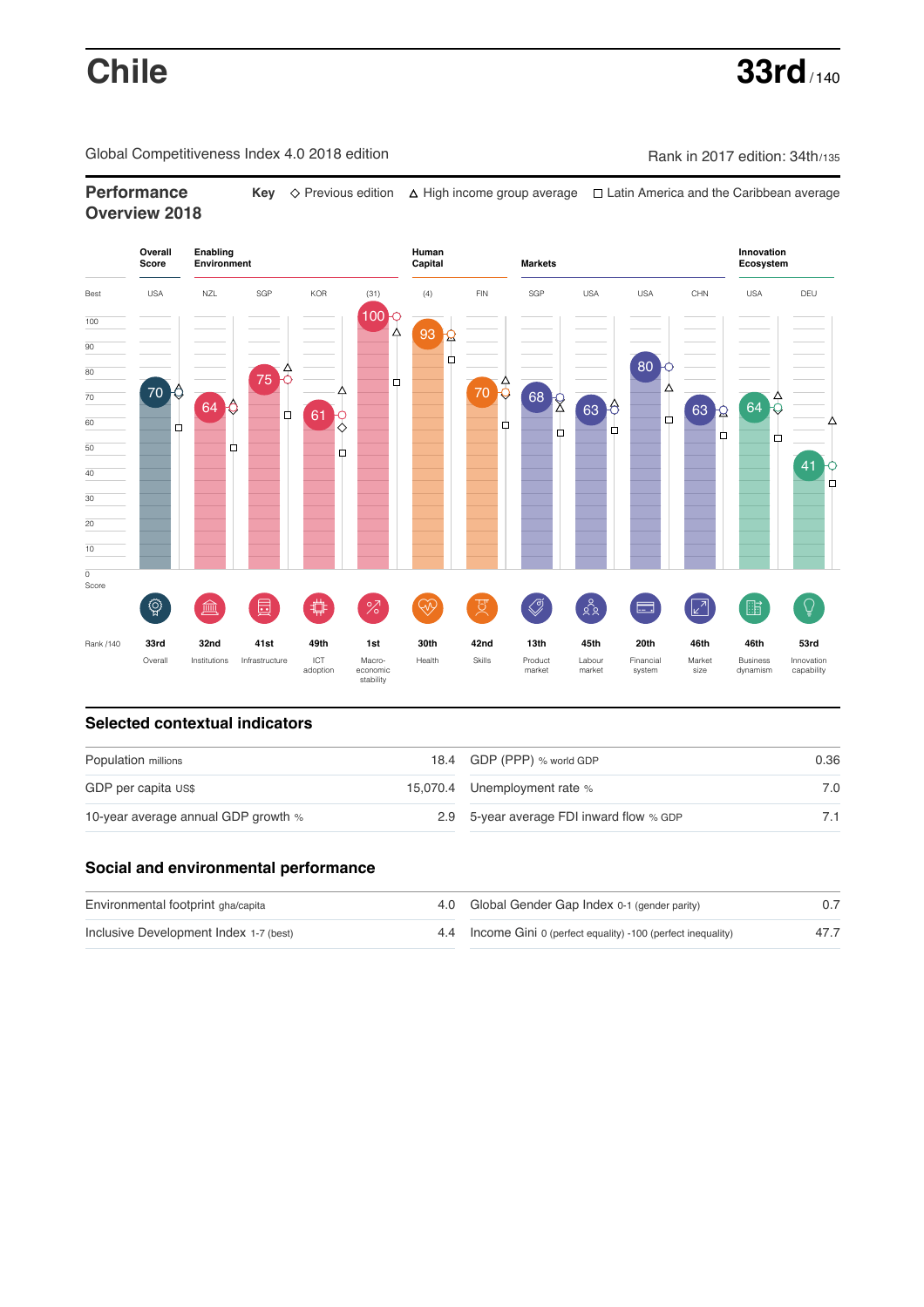Global Competitiveness Index 4.0 2018 edition Company Rank in 2017 edition: 34th/135

# **Performance Key**  $\Diamond$  Previous edition △ High income group average □ Latin America and the Caribbean average **Overview 2018**



### **Selected contextual indicators**

| Population millions                 |  | 18.4 GDP (PPP) % world GDP               | 0.36 |  |
|-------------------------------------|--|------------------------------------------|------|--|
| GDP per capita US\$                 |  | 15,070.4 Unemployment rate %             | 7.0  |  |
| 10-year average annual GDP growth % |  | 2.9 5-year average FDI inward flow % GDP |      |  |

### **Social and environmental performance**

| Environmental footprint gha/capita     | 4.0 Global Gender Gap Index 0-1 (gender parity)                |      |
|----------------------------------------|----------------------------------------------------------------|------|
| Inclusive Development Index 1-7 (best) | 4.4 Income Gini 0 (perfect equality) -100 (perfect inequality) | 47.7 |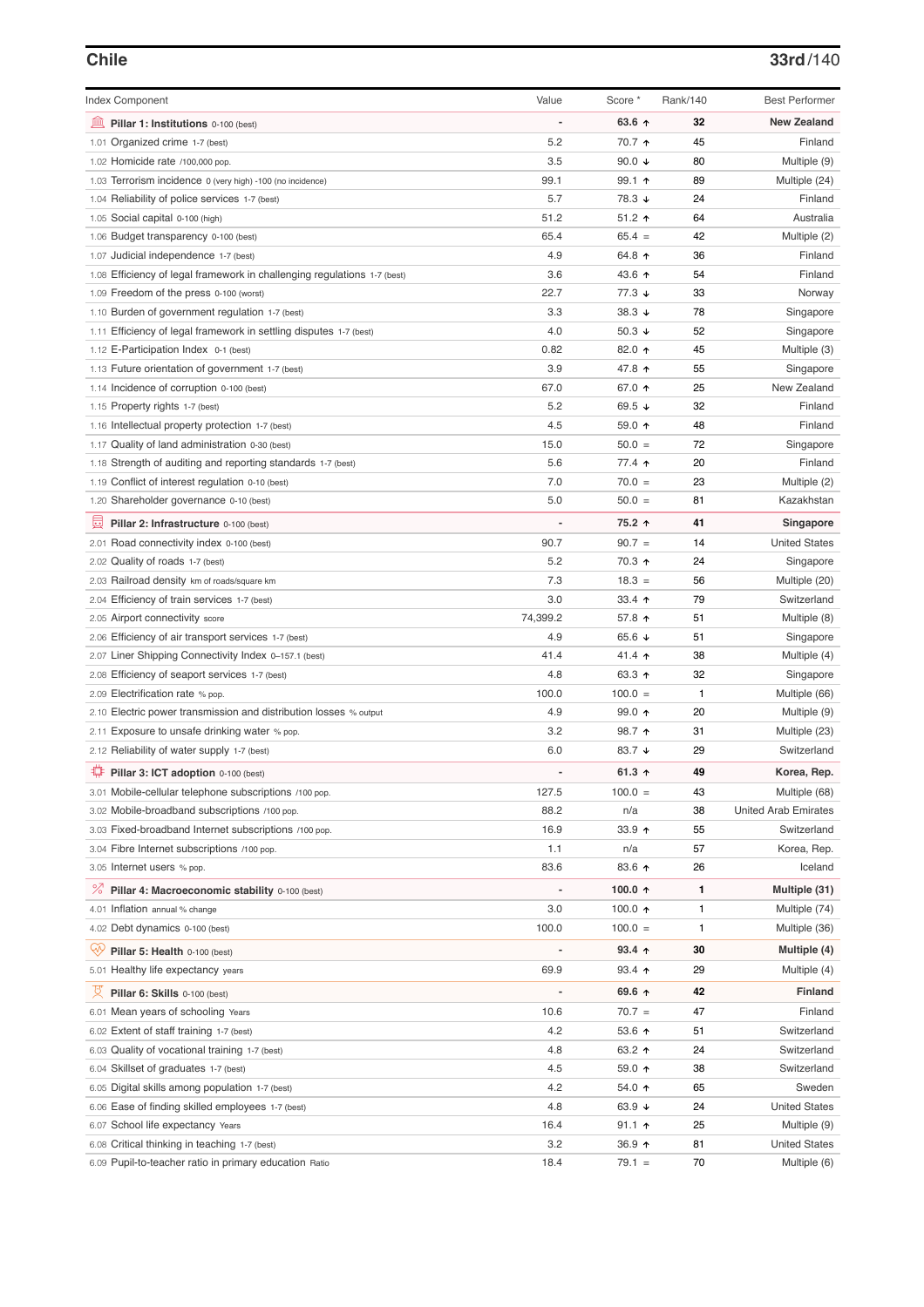## **Chile 33rd**/140

| <b>Index Component</b>                                                   | Value          | Score *              | Rank/140     | <b>Best Performer</b>       |
|--------------------------------------------------------------------------|----------------|----------------------|--------------|-----------------------------|
| 寙<br>Pillar 1: Institutions 0-100 (best)                                 |                | 63.6 $\uparrow$      | 32           | <b>New Zealand</b>          |
| 1.01 Organized crime 1-7 (best)                                          | 5.2            | 70.7 ↑               | 45           | Finland                     |
| 1.02 Homicide rate /100,000 pop.                                         | 3.5            | 90.0 $\sqrt{ }$      | 80           | Multiple (9)                |
| 1.03 Terrorism incidence 0 (very high) -100 (no incidence)               | 99.1           | $99.1$ 1             | 89           | Multiple (24)               |
| 1.04 Reliability of police services 1-7 (best)                           | 5.7            | 78.3 ↓               | 24           | Finland                     |
| 1.05 Social capital 0-100 (high)                                         | 51.2           | $51.2$ ↑             | 64           | Australia                   |
| 1.06 Budget transparency 0-100 (best)                                    | 65.4           | $65.4 =$             | 42           | Multiple (2)                |
| 1.07 Judicial independence 1-7 (best)                                    | 4.9            | 64.8 ↑               | 36           | Finland                     |
| 1.08 Efficiency of legal framework in challenging regulations 1-7 (best) | 3.6            | 43.6 ↑               | 54           | Finland                     |
| 1.09 Freedom of the press 0-100 (worst)                                  | 22.7           | $77.3 \; \downarrow$ | 33           | Norway                      |
| 1.10 Burden of government regulation 1-7 (best)                          | 3.3            | 38.3 $\downarrow$    | 78           | Singapore                   |
| 1.11 Efficiency of legal framework in settling disputes 1-7 (best)       | 4.0            | 50.3 $\sqrt{ }$      | 52           | Singapore                   |
| 1.12 E-Participation Index 0-1 (best)                                    | 0.82           | 82.0 ↑               | 45           | Multiple (3)                |
| 1.13 Future orientation of government 1-7 (best)                         | 3.9            | 47.8 ↑               | 55           | Singapore                   |
| 1.14 Incidence of corruption 0-100 (best)                                | 67.0           | 67.0 ↑               | 25           | New Zealand                 |
| 1.15 Property rights 1-7 (best)                                          | 5.2            | 69.5 $\sqrt{ }$      | 32           | Finland                     |
| 1.16 Intellectual property protection 1-7 (best)                         | 4.5            | 59.0 ↑               | 48           | Finland                     |
| 1.17 Quality of land administration 0-30 (best)                          | 15.0           | $50.0 =$             | 72           | Singapore                   |
| 1.18 Strength of auditing and reporting standards 1-7 (best)             | 5.6            | 77.4 ↑               | 20           | Finland                     |
| 1.19 Conflict of interest regulation 0-10 (best)                         | 7.0            | $70.0 =$             | 23           | Multiple (2)                |
| 1.20 Shareholder governance 0-10 (best)                                  | 5.0            | $50.0 =$             | 81           | Kazakhstan                  |
|                                                                          |                |                      |              |                             |
| 曼<br>Pillar 2: Infrastructure 0-100 (best)                               |                | 75.2 ↑               | 41           | Singapore                   |
| 2.01 Road connectivity index 0-100 (best)                                | 90.7           | $90.7 =$             | 14           | <b>United States</b>        |
| 2.02 Quality of roads 1-7 (best)                                         | 5.2            | 70.3 ↑               | 24           | Singapore                   |
| 2.03 Railroad density km of roads/square km                              | 7.3            | $18.3 =$             | 56           | Multiple (20)               |
| 2.04 Efficiency of train services 1-7 (best)                             | 3.0            | 33.4 $\uparrow$      | 79           | Switzerland                 |
| 2.05 Airport connectivity score                                          | 74,399.2       | 57.8 ↑               | 51           | Multiple (8)                |
| 2.06 Efficiency of air transport services 1-7 (best)                     | 4.9            | 65.6 $\sqrt{ }$      | 51           | Singapore                   |
| 2.07 Liner Shipping Connectivity Index 0-157.1 (best)                    | 41.4           | 41.4 $\uparrow$      | 38           | Multiple (4)                |
| 2.08 Efficiency of seaport services 1-7 (best)                           | 4.8            | 63.3 ↑               | 32           | Singapore                   |
| 2.09 Electrification rate % pop.                                         | 100.0          | $100.0 =$            | $\mathbf{1}$ | Multiple (66)               |
| 2.10 Electric power transmission and distribution losses % output        | 4.9            | $99.0$ ↑             | 20           | Multiple (9)                |
| 2.11 Exposure to unsafe drinking water % pop.                            | 3.2            | 98.7 ↑               | 31           | Multiple (23)               |
| 2.12 Reliability of water supply 1-7 (best)                              | 6.0            | 83.7 $\sqrt{ }$      | 29           | Switzerland                 |
| ₽<br>Pillar 3: ICT adoption 0-100 (best)                                 |                | 61.3 $\uparrow$      | 49           | Korea, Rep.                 |
| 3.01 Mobile-cellular telephone subscriptions /100 pop.                   | 127.5          | $100.0 =$            | 43           | Multiple (68)               |
| 3.02 Mobile-broadband subscriptions /100 pop.                            | 88.2           | n/a                  | 38           | <b>United Arab Emirates</b> |
| 3.03 Fixed-broadband Internet subscriptions /100 pop.                    | 16.9           | 33.9 ↑               | 55           | Switzerland                 |
| 3.04 Fibre Internet subscriptions /100 pop.                              | 1.1            | n/a                  | 57           | Korea, Rep.                 |
| 3.05 Internet users % pop.                                               | 83.6           | 83.6 个               | 26           | Iceland                     |
| <sup>%</sup> Pillar 4: Macroeconomic stability 0-100 (best)              | $\overline{a}$ | 100.0 个              | 1            | Multiple (31)               |
| 4.01 Inflation annual % change                                           | 3.0            | 100.0 $\uparrow$     | 1            | Multiple (74)               |
| 4.02 Debt dynamics 0-100 (best)                                          | 100.0          | $100.0 =$            | 1            | Multiple (36)               |
|                                                                          |                |                      |              |                             |
| Qÿ<br>Pillar 5: Health 0-100 (best)                                      |                | 93.4 $\uparrow$      | 30           | Multiple (4)                |
| 5.01 Healthy life expectancy years                                       | 69.9           | $93.4$ ↑             | 29           | Multiple (4)                |
| 성<br>Pillar 6: Skills 0-100 (best)                                       |                | 69.6 $\uparrow$      | 42           | <b>Finland</b>              |
| 6.01 Mean years of schooling Years                                       | 10.6           | $70.7 =$             | 47           | Finland                     |
| 6.02 Extent of staff training 1-7 (best)                                 | 4.2            | 53.6 $\uparrow$      | 51           | Switzerland                 |
| 6.03 Quality of vocational training 1-7 (best)                           | 4.8            | 63.2 $\uparrow$      | 24           | Switzerland                 |
| 6.04 Skillset of graduates 1-7 (best)                                    | 4.5            | 59.0 ↑               | 38           | Switzerland                 |
| 6.05 Digital skills among population 1-7 (best)                          | 4.2            | 54.0 $\uparrow$      | 65           | Sweden                      |
| 6.06 Ease of finding skilled employees 1-7 (best)                        | 4.8            | 63.9 $\sqrt{ }$      | 24           | <b>United States</b>        |
| 6.07 School life expectancy Years                                        | 16.4           | $91.1$ ↑             | 25           | Multiple (9)                |
| 6.08 Critical thinking in teaching 1-7 (best)                            | 3.2            | 36.9 $\uparrow$      | 81           | <b>United States</b>        |
| 6.09 Pupil-to-teacher ratio in primary education Ratio                   | 18.4           | $79.1 =$             | 70           | Multiple (6)                |